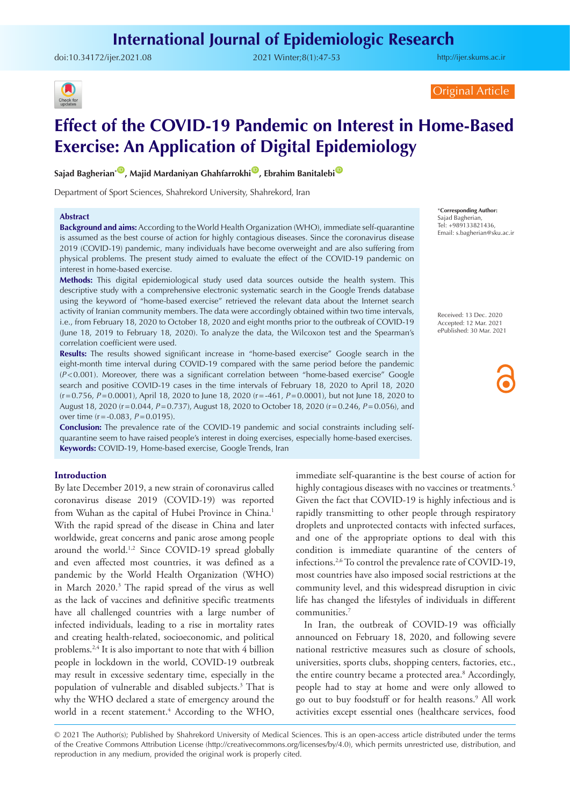## **International Journal of Epidemiologic Research**

doi:[10.34172/ijer.2021.08](https://doi.org/10.34172/ijer.2021.08) 2021 Winter;8(1):47-53

<http://ijer.skums.ac.ir>



Original Article

# **Effect of the COVID-19 Pandemic on Interest in Home-Based Exercise: An Application of Digital Epidemiology**

**Sajad Bagherian<sup>\*</sup><sup>1</sup>, Majid Mardaniyan Ghahfarrokhi<sup><sup>®</sup>, Ebrahim Banitalebi<sup>®</sup>**</sup>

Department of Sport Sciences, Shahrekord University, Shahrekord, Iran

#### **Abstract**

**Background and aims:** According to the World Health Organization (WHO), immediate self-quarantine is assumed as the best course of action for highly contagious diseases. Since the coronavirus disease 2019 (COVID-19) pandemic, many individuals have become overweight and are also suffering from physical problems. The present study aimed to evaluate the effect of the COVID-19 pandemic on interest in home-based exercise.

**Methods:** This digital epidemiological study used data sources outside the health system. This descriptive study with a comprehensive electronic systematic search in the Google Trends database using the keyword of "home-based exercise" retrieved the relevant data about the Internet search activity of Iranian community members. The data were accordingly obtained within two time intervals, i.e., from February 18, 2020 to October 18, 2020 and eight months prior to the outbreak of COVID-19 (June 18, 2019 to February 18, 2020). To analyze the data, the Wilcoxon test and the Spearman's correlation coefficient were used.

**Results:** The results showed significant increase in "home-based exercise" Google search in the eight-month time interval during COVID-19 compared with the same period before the pandemic (*P*<0.001). Moreover, there was a significant correlation between "home-based exercise" Google search and positive COVID-19 cases in the time intervals of February 18, 2020 to April 18, 2020 (r=0.756, *P*=0.0001), April 18, 2020 to June 18, 2020 (r=-461, *P*=0.0001), but not June 18, 2020 to August 18, 2020 (r=0.044, *P*=0.737), August 18, 2020 to October 18, 2020 (r=0.246, *P*=0.056), and over time (r=-0.083, *P*=0.0195).

**Conclusion:** The prevalence rate of the COVID-19 pandemic and social constraints including selfquarantine seem to have raised people's interest in doing exercises, especially home-based exercises. **Keywords:** COVID-19, Home-based exercise, Google Trends, Iran

## **Introduction**

By late December 2019, a new strain of coronavirus called coronavirus disease 2019 (COVID-19) was reported from Wuhan as the capital of Hubei Province in China.<sup>1</sup> With the rapid spread of the disease in China and later worldwide, great concerns and panic arose among people around the world.<sup>1,2</sup> Since COVID-19 spread globally and even affected most countries, it was defined as a pandemic by the World Health Organization (WHO) in March 2020.<sup>3</sup> The rapid spread of the virus as well as the lack of vaccines and definitive specific treatments have all challenged countries with a large number of infected individuals, leading to a rise in mortality rates and creating health-related, socioeconomic, and political problems.2,4 It is also important to note that with 4 billion people in lockdown in the world, COVID-19 outbreak may result in excessive sedentary time, especially in the population of vulnerable and disabled subjects.<sup>3</sup> That is why the WHO declared a state of emergency around the world in a recent statement.<sup>4</sup> According to the WHO,

\***Corresponding Author:** Sajad Bagherian Tel: +989133821436, Email: s.bagherian@sku.ac.ir

Received: 13 Dec. 2020 Accepted: 12 Mar. 2021 ePublished: 30 Mar. 2021

immediate self-quarantine is the best course of action for highly contagious diseases with no vaccines or treatments.<sup>5</sup> Given the fact that COVID-19 is highly infectious and is rapidly transmitting to other people through respiratory droplets and unprotected contacts with infected surfaces, and one of the appropriate options to deal with this condition is immediate quarantine of the centers of infections.2,6 To control the prevalence rate of COVID-19, most countries have also imposed social restrictions at the community level, and this widespread disruption in civic life has changed the lifestyles of individuals in different communities.7

In Iran, the outbreak of COVID-19 was officially announced on February 18, 2020, and following severe national restrictive measures such as closure of schools, universities, sports clubs, shopping centers, factories, etc., the entire country became a protected area.<sup>8</sup> Accordingly, people had to stay at home and were only allowed to go out to buy foodstuff or for health reasons.9 All work activities except essential ones (healthcare services, food

© 2021 The Author(s); Published by Shahrekord University of Medical Sciences. This is an open-access article distributed under the terms of the Creative Commons Attribution License (http://creativecommons.org/licenses/by/4.0), which permits unrestricted use, distribution, and reproduction in any medium, provided the original work is properly cited.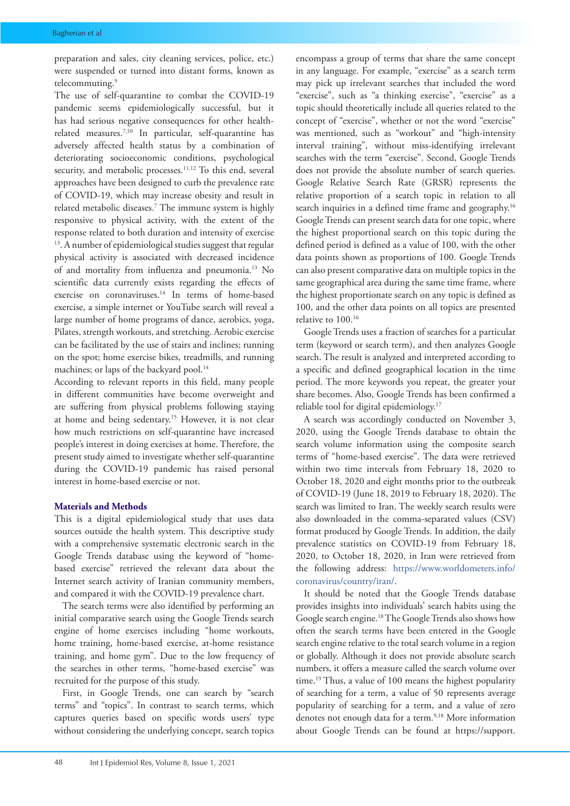preparation and sales, city cleaning services, police, etc.) were suspended or turned into distant forms, known as telecommuting.9

The use of self-quarantine to combat the COVID-19 pandemic seems epidemiologically successful, but it has had serious negative consequences for other healthrelated measures.7,10 In particular, self-quarantine has adversely affected health status by a combination of deteriorating socioeconomic conditions, psychological security, and metabolic processes.<sup>11,12</sup> To this end, several approaches have been designed to curb the prevalence rate of COVID-19, which may increase obesity and result in related metabolic diseases.7 The immune system is highly responsive to physical activity, with the extent of the response related to both duration and intensity of exercise <sup>13</sup>. A number of epidemiological studies suggest that regular physical activity is associated with decreased incidence of and mortality from influenza and pneumonia.<sup>13</sup> No scientific data currently exists regarding the effects of exercise on coronaviruses.<sup>14</sup> In terms of home-based exercise, a simple internet or YouTube search will reveal a large number of home programs of dance, aerobics, yoga, Pilates, strength workouts, and stretching. Aerobic exercise can be facilitated by the use of stairs and inclines; running on the spot; home exercise bikes, treadmills, and running machines; or laps of the backyard pool.<sup>14</sup>

According to relevant reports in this field, many people in different communities have become overweight and are suffering from physical problems following staying at home and being sedentary.15 However, it is not clear how much restrictions on self-quarantine have increased people's interest in doing exercises at home. Therefore, the present study aimed to investigate whether self-quarantine during the COVID-19 pandemic has raised personal interest in home-based exercise or not.

## **Materials and Methods**

This is a digital epidemiological study that uses data sources outside the health system. This descriptive study with a comprehensive systematic electronic search in the Google Trends database using the keyword of "homebased exercise" retrieved the relevant data about the Internet search activity of Iranian community members, and compared it with the COVID-19 prevalence chart.

The search terms were also identified by performing an initial comparative search using the Google Trends search engine of home exercises including "home workouts, home training, home-based exercise, at-home resistance training, and home gym". Due to the low frequency of the searches in other terms, "home-based exercise" was recruited for the purpose of this study.

First, in Google Trends, one can search by "search terms" and "topics". In contrast to search terms, which captures queries based on specific words users' type without considering the underlying concept, search topics encompass a group of terms that share the same concept in any language. For example, "exercise" as a search term may pick up irrelevant searches that included the word "exercise", such as "a thinking exercise", "exercise" as a topic should theoretically include all queries related to the concept of "exercise", whether or not the word "exercise" was mentioned, such as "workout" and "high-intensity interval training", without miss-identifying irrelevant searches with the term "exercise". Second, Google Trends does not provide the absolute number of search queries. Google Relative Search Rate (GRSR) represents the relative proportion of a search topic in relation to all search inquiries in a defined time frame and geography.<sup>16</sup> Google Trends can present search data for one topic, where the highest proportional search on this topic during the defined period is defined as a value of 100, with the other data points shown as proportions of 100. Google Trends can also present comparative data on multiple topics in the same geographical area during the same time frame, where the highest proportionate search on any topic is defined as 100, and the other data points on all topics are presented relative to 100.16

Google Trends uses a fraction of searches for a particular term (keyword or search term), and then analyzes Google search. The result is analyzed and interpreted according to a specific and defined geographical location in the time period. The more keywords you repeat, the greater your share becomes. Also, Google Trends has been confirmed a reliable tool for digital epidemiology.17

A search was accordingly conducted on November 3, 2020, using the Google Trends database to obtain the search volume information using the composite search terms of "home-based exercise". The data were retrieved within two time intervals from February 18, 2020 to October 18, 2020 and eight months prior to the outbreak of COVID-19 (June 18, 2019 to February 18, 2020). The search was limited to Iran. The weekly search results were also downloaded in the comma-separated values (CSV) format produced by Google Trends. In addition, the daily prevalence statistics on COVID-19 from February 18, 2020, to October 18, 2020, in Iran were retrieved from the following address: [https://www.worldometers.info/](https://www.worldometers.info/coronavirus/country/iran/) [coronavirus/country/iran/](https://www.worldometers.info/coronavirus/country/iran/).

It should be noted that the Google Trends database provides insights into individuals' search habits using the Google search engine.18 The Google Trends also shows how often the search terms have been entered in the Google search engine relative to the total search volume in a region or globally. Although it does not provide absolute search numbers, it offers a measure called the search volume over time.<sup>19</sup> Thus, a value of 100 means the highest popularity of searching for a term, a value of 50 represents average popularity of searching for a term, and a value of zero denotes not enough data for a term.<sup>9,18</sup> More information about Google Trends can be found at https://support.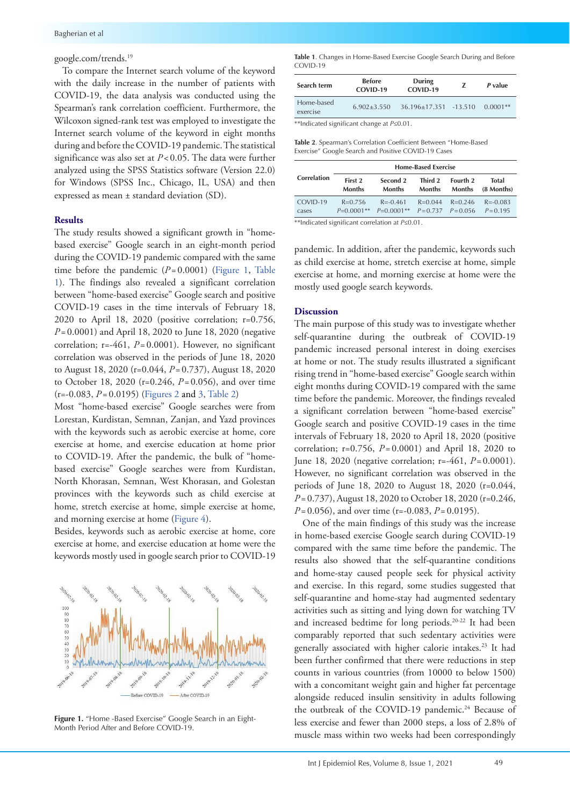google.com/trends.19

To compare the Internet search volume of the keyword with the daily increase in the number of patients with COVID-19, the data analysis was conducted using the Spearman's rank correlation coefficient. Furthermore, the Wilcoxon signed-rank test was employed to investigate the Internet search volume of the keyword in eight months during and before the COVID-19 pandemic. The statistical significance was also set at *P*<0.05. The data were further analyzed using the SPSS Statistics software (Version 22.0) for Windows (SPSS Inc., Chicago, IL, USA) and then expressed as mean ± standard deviation (SD).

#### **Results**

The study results showed a significant growth in "homebased exercise" Google search in an eight-month period during the COVID-19 pandemic compared with the same time before the pandemic  $(P=0.0001)$  ([Figure](#page-2-0) 1, [Table](#page-2-1) [1\)](#page-2-1). The findings also revealed a significant correlation between "home-based exercise" Google search and positive COVID-19 cases in the time intervals of February 18, 2020 to April 18, 2020 (positive correlation; r=0.756, *P*= 0.0001) and April 18, 2020 to June 18, 2020 (negative correlation; r=-461, *P*=0.0001). However, no significant correlation was observed in the periods of June 18, 2020 to August 18, 2020 (r=0.044, *P*=0.737), August 18, 2020 to October 18, 2020 (r=0.246, *P*=0.056), and over time (r=-0.083, *P*=0.0195) [\(Figures](#page-3-0) 2 and [3](#page-3-1), [Table](#page-2-2) 2)

Most "home-based exercise" Google searches were from Lorestan, Kurdistan, Semnan, Zanjan, and Yazd provinces with the keywords such as aerobic exercise at home, core exercise at home, and exercise education at home prior to COVID-19. After the pandemic, the bulk of "homebased exercise" Google searches were from Kurdistan, North Khorasan, Semnan, West Khorasan, and Golestan provinces with the keywords such as child exercise at home, stretch exercise at home, simple exercise at home, and morning exercise at home [\(Figure](#page-4-0) 4).

Besides, keywords such as aerobic exercise at home, core exercise at home, and exercise education at home were the keywords mostly used in google search prior to COVID-19

<span id="page-2-0"></span>

**Figure 1.** "Home -Based Exercise" Google Search in an Eight-Month Period After and Before COVID-19.

<span id="page-2-1"></span>**Table 1**. Changes in Home-Based Exercise Google Search During and Before COVID-19

| Search term                                     | <b>Before</b><br>COVID-19 | During<br>COVID-19         | 7 | P value    |  |  |
|-------------------------------------------------|---------------------------|----------------------------|---|------------|--|--|
| Home-based<br>exercise                          | $6.902 + 3.550$           | $36.196 + 17.351 - 13.510$ |   | $0.0001**$ |  |  |
| 10 Pc0 te gone to right than the street that ** |                           |                            |   |            |  |  |

\*\*Indicated significant change at *P*≤0.01.

<span id="page-2-2"></span>**Table 2**. Spearman's Correlation Coefficient Between "Home-Based Exercise" Google Search and Positive COVID-19 Cases

| Correlation       | <b>Home-Based Exercise</b> |                              |                            |                           |                             |  |  |
|-------------------|----------------------------|------------------------------|----------------------------|---------------------------|-----------------------------|--|--|
|                   | First 2<br><b>Months</b>   | Second 2<br><b>Months</b>    | Third 2<br><b>Months</b>   | Fourth 2<br><b>Months</b> | Total<br>(8 Months)         |  |  |
| COVID-19<br>cases | $R=0.756$<br>$P=0.0001**$  | $R = -0.461$<br>$P=0.0001**$ | $R = 0.044$<br>$P = 0.737$ | $R=0.246$<br>$P = 0.056$  | $R = -0.083$<br>$P = 0.195$ |  |  |

\*\*Indicated significant correlation at *P*≤0.01.

pandemic. In addition, after the pandemic, keywords such as child exercise at home, stretch exercise at home, simple exercise at home, and morning exercise at home were the mostly used google search keywords.

#### **Discussion**

The main purpose of this study was to investigate whether self-quarantine during the outbreak of COVID-19 pandemic increased personal interest in doing exercises at home or not. The study results illustrated a significant rising trend in "home-based exercise" Google search within eight months during COVID-19 compared with the same time before the pandemic. Moreover, the findings revealed a significant correlation between "home-based exercise" Google search and positive COVID-19 cases in the time intervals of February 18, 2020 to April 18, 2020 (positive correlation; r=0.756, *P*=0.0001) and April 18, 2020 to June 18, 2020 (negative correlation; r=-461, *P*=0.0001). However, no significant correlation was observed in the periods of June 18, 2020 to August 18, 2020 (r=0.044, *P*= 0.737), August 18, 2020 to October 18, 2020 (r=0.246, *P*= 0.056), and over time (r=-0.083, *P*= 0.0195).

One of the main findings of this study was the increase in home-based exercise Google search during COVID-19 compared with the same time before the pandemic. The results also showed that the self-quarantine conditions and home-stay caused people seek for physical activity and exercise. In this regard, some studies suggested that self-quarantine and home-stay had augmented sedentary activities such as sitting and lying down for watching TV and increased bedtime for long periods.20-22 It had been comparably reported that such sedentary activities were generally associated with higher calorie intakes.<sup>23</sup> It had been further confirmed that there were reductions in step counts in various countries (from 10000 to below 1500) with a concomitant weight gain and higher fat percentage alongside reduced insulin sensitivity in adults following the outbreak of the COVID-19 pandemic.<sup>24</sup> Because of less exercise and fewer than 2000 steps, a loss of 2.8% of muscle mass within two weeks had been correspondingly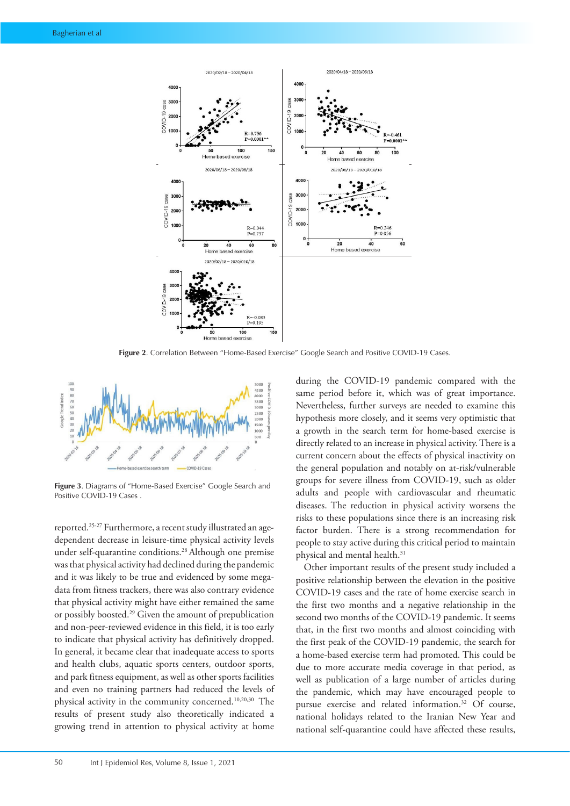<span id="page-3-0"></span>

**Figure 2**. Correlation Between "Home-Based Exercise" Google Search and Positive COVID-19 Cases. **Figure 2**. Correlation Between "Home-Based Exercise" Google Search and Positive COVID-19 Cases.

<span id="page-3-1"></span>

**Figure 3**. Diagrams of "Home-Based Exercise" Google Search and Positive COVID-19 Cases .

reported.25-27 Furthermore, a recent study illustrated an agedependent decrease in leisure-time physical activity levels under self-quarantine conditions.<sup>28</sup> Although one premise was that physical activity had declined during the pandemic and it was likely to be true and evidenced by some megadata from fitness trackers, there was also contrary evidence that physical activity might have either remained the same or possibly boosted.29 Given the amount of prepublication and non-peer-reviewed evidence in this field, it is too early to indicate that physical activity has definitively dropped. In general, it became clear that inadequate access to sports and health clubs, aquatic sports centers, outdoor sports, and park fitness equipment, as well as other sports facilities and even no training partners had reduced the levels of physical activity in the community concerned.10,20,30 The results of present study also theoretically indicated a growing trend in attention to physical activity at home

during the COVID-19 pandemic compared with the same period before it, which was of great importance. Nevertheless, further surveys are needed to examine this hypothesis more closely, and it seems very optimistic that a growth in the search term for home-based exercise is directly related to an increase in physical activity. There is a current concern about the effects of physical inactivity on the general population and notably on at-risk/vulnerable groups for severe illness from COVID-19, such as older adults and people with cardiovascular and rheumatic diseases. The reduction in physical activity worsens the risks to these populations since there is an increasing risk factor burden. There is a strong recommendation for people to stay active during this critical period to maintain physical and mental health.<sup>31</sup>

Other important results of the present study included a positive relationship between the elevation in the positive COVID-19 cases and the rate of home exercise search in the first two months and a negative relationship in the second two months of the COVID-19 pandemic. It seems that, in the first two months and almost coinciding with the first peak of the COVID-19 pandemic, the search for a home-based exercise term had promoted. This could be due to more accurate media coverage in that period, as well as publication of a large number of articles during the pandemic, which may have encouraged people to pursue exercise and related information.<sup>32</sup> Of course, national holidays related to the Iranian New Year and national self-quarantine could have affected these results,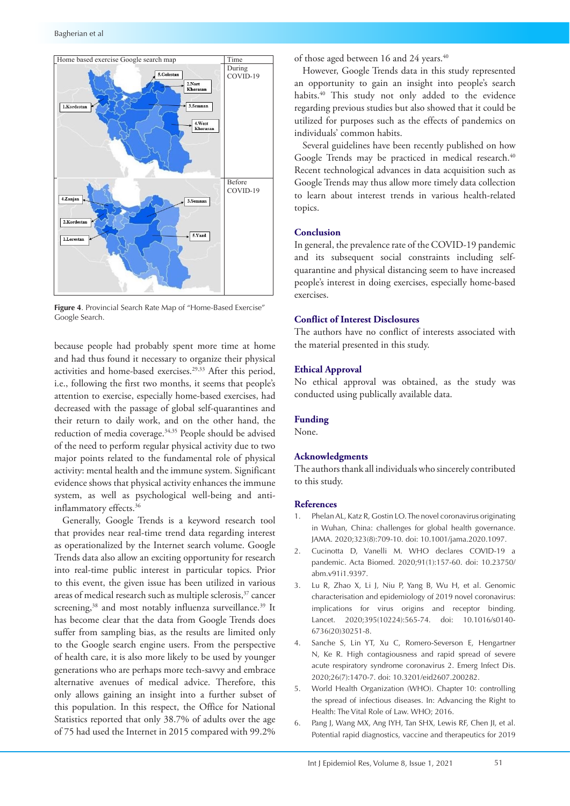<span id="page-4-0"></span>

**Figure 4.** Provincial Search Rate Map of "Home-Based Exercise" Google Search.

because people had probably spent more time at home and had thus found it necessary to organize their physical activities and home-based exercises.<sup>29,33</sup> After this period, i.e., following the first two months, it seems that people's attention to exercise, especially home-based exercises, had decreased with the passage of global self-quarantines and their return to daily work, and on the other hand, the reduction of media coverage.<sup>34,35</sup> People should be advised of the need to perform regular physical activity due to two major points related to the fundamental role of physical activity: mental health and the immune system. Significant evidence shows that physical activity enhances the immune system, as well as psychological well-being and antiinflammatory effects.36

Generally, Google Trends is a keyword research tool that provides near real-time trend data regarding interest as operationalized by the Internet search volume. Google Trends data also allow an exciting opportunity for research into real-time public interest in particular topics. Prior to this event, the given issue has been utilized in various areas of medical research such as multiple sclerosis,<sup>37</sup> cancer screening,<sup>38</sup> and most notably influenza surveillance.<sup>39</sup> It has become clear that the data from Google Trends does suffer from sampling bias, as the results are limited only to the Google search engine users. From the perspective of health care, it is also more likely to be used by younger generations who are perhaps more tech-savvy and embrace alternative avenues of medical advice. Therefore, this only allows gaining an insight into a further subset of this population. In this respect, the Office for National Statistics reported that only 38.7% of adults over the age of 75 had used the Internet in 2015 compared with 99.2%

of those aged between 16 and 24 years.<sup>40</sup>

However, Google Trends data in this study represented an opportunity to gain an insight into people's search habits.40 This study not only added to the evidence regarding previous studies but also showed that it could be utilized for purposes such as the effects of pandemics on individuals' common habits.

Several guidelines have been recently published on how Google Trends may be practiced in medical research.<sup>40</sup> Recent technological advances in data acquisition such as Google Trends may thus allow more timely data collection to learn about interest trends in various health-related topics.

#### **Conclusion**

In general, the prevalence rate of the COVID-19 pandemic and its subsequent social constraints including selfquarantine and physical distancing seem to have increased people's interest in doing exercises, especially home-based exercises.

## **Conflict of Interest Disclosures**

The authors have no conflict of interests associated with the material presented in this study.

### **Ethical Approval**

No ethical approval was obtained, as the study was conducted using publically available data.

#### **Funding**

None.

#### **Acknowledgments**

The authors thank all individuals who sincerely contributed to this study.

## **References**

- 1. Phelan AL, Katz R, Gostin LO. The novel coronavirus originating in Wuhan, China: challenges for global health governance. JAMA. 2020;323(8):709-10. doi: 10.1001/jama.2020.1097.
- 2. Cucinotta D, Vanelli M. WHO declares COVID-19 a pandemic. Acta Biomed. 2020;91(1):157-60. doi: 10.23750/ abm.v91i1.9397.
- 3. Lu R, Zhao X, Li J, Niu P, Yang B, Wu H, et al. Genomic characterisation and epidemiology of 2019 novel coronavirus: implications for virus origins and receptor binding. Lancet. 2020;395(10224):565-74. doi: 10.1016/s0140- 6736(20)30251-8.
- 4. Sanche S, Lin YT, Xu C, Romero-Severson E, Hengartner N, Ke R. High contagiousness and rapid spread of severe acute respiratory syndrome coronavirus 2. Emerg Infect Dis. 2020;26(7):1470-7. doi: 10.3201/eid2607.200282.
- 5. World Health Organization (WHO). Chapter 10: controlling the spread of infectious diseases. In: Advancing the Right to Health: The Vital Role of Law. WHO; 2016.
- 6. Pang J, Wang MX, Ang IYH, Tan SHX, Lewis RF, Chen JI, et al. Potential rapid diagnostics, vaccine and therapeutics for 2019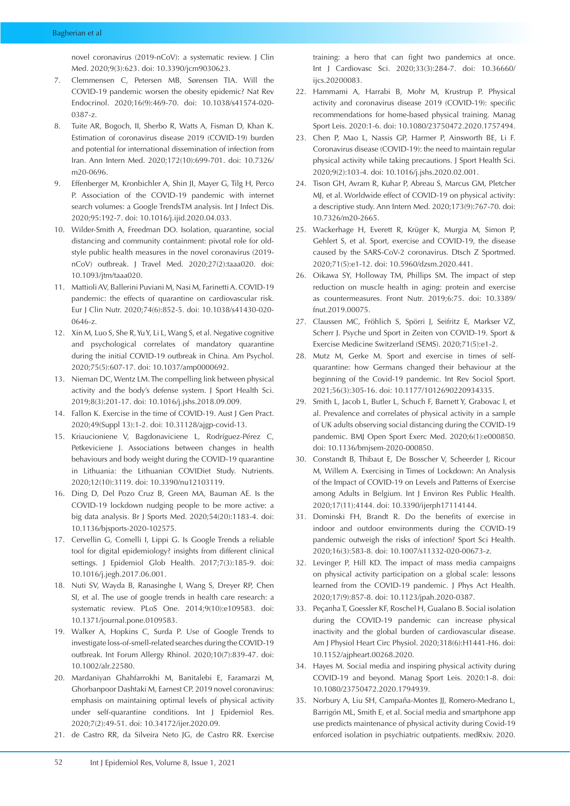novel coronavirus (2019-nCoV): a systematic review. J Clin Med. 2020;9(3):623. doi: 10.3390/jcm9030623.

- 7. Clemmensen C, Petersen MB, Sørensen TIA. Will the COVID-19 pandemic worsen the obesity epidemic? Nat Rev Endocrinol. 2020;16(9):469-70. doi: 10.1038/s41574-020- 0387-z.
- 8. Tuite AR, Bogoch, II, Sherbo R, Watts A, Fisman D, Khan K. Estimation of coronavirus disease 2019 (COVID-19) burden and potential for international dissemination of infection from Iran. Ann Intern Med. 2020;172(10):699-701. doi: 10.7326/ m20-0696.
- 9. Effenberger M, Kronbichler A, Shin JI, Mayer G, Tilg H, Perco P. Association of the COVID-19 pandemic with internet search volumes: a Google TrendsTM analysis. Int J Infect Dis. 2020;95:192-7. doi: 10.1016/j.ijid.2020.04.033.
- 10. Wilder-Smith A, Freedman DO. Isolation, quarantine, social distancing and community containment: pivotal role for oldstyle public health measures in the novel coronavirus (2019 nCoV) outbreak. J Travel Med. 2020;27(2):taaa020. doi: 10.1093/jtm/taaa020.
- 11. Mattioli AV, Ballerini Puviani M, Nasi M, Farinetti A. COVID-19 pandemic: the effects of quarantine on cardiovascular risk. Eur J Clin Nutr. 2020;74(6):852-5. doi: 10.1038/s41430-020- 0646-z.
- 12. Xin M, Luo S, She R, Yu Y, Li L, Wang S, et al. Negative cognitive and psychological correlates of mandatory quarantine during the initial COVID-19 outbreak in China. Am Psychol. 2020;75(5):607-17. doi: 10.1037/amp0000692.
- 13. Nieman DC, Wentz LM. The compelling link between physical activity and the body's defense system. J Sport Health Sci. 2019;8(3):201-17. doi: 10.1016/j.jshs.2018.09.009.
- 14. Fallon K. Exercise in the time of COVID-19. Aust J Gen Pract. 2020;49(Suppl 13):1-2. doi: 10.31128/ajgp-covid-13.
- 15. Kriaucioniene V, Bagdonaviciene L, Rodríguez-Pérez C, Petkeviciene J. Associations between changes in health behaviours and body weight during the COVID-19 quarantine in Lithuania: the Lithuanian COVIDiet Study. Nutrients. 2020;12(10):3119. doi: 10.3390/nu12103119.
- 16. Ding D, Del Pozo Cruz B, Green MA, Bauman AE. Is the COVID-19 lockdown nudging people to be more active: a big data analysis. Br J Sports Med. 2020;54(20):1183-4. doi: 10.1136/bjsports-2020-102575.
- 17. Cervellin G, Comelli I, Lippi G. Is Google Trends a reliable tool for digital epidemiology? insights from different clinical settings. J Epidemiol Glob Health. 2017;7(3):185-9. doi: 10.1016/j.jegh.2017.06.001.
- 18. Nuti SV, Wayda B, Ranasinghe I, Wang S, Dreyer RP, Chen SI, et al. The use of google trends in health care research: a systematic review. PLoS One. 2014;9(10):e109583. doi: 10.1371/journal.pone.0109583.
- 19. Walker A, Hopkins C, Surda P. Use of Google Trends to investigate loss-of-smell-related searches during the COVID-19 outbreak. Int Forum Allergy Rhinol. 2020;10(7):839-47. doi: 10.1002/alr.22580.
- 20. Mardaniyan Ghahfarrokhi M, Banitalebi E, Faramarzi M, Ghorbanpoor Dashtaki M, Earnest CP. 2019 novel coronavirus: emphasis on maintaining optimal levels of physical activity under self-quarantine conditions. Int J Epidemiol Res. 2020;7(2):49-51. doi: 10.34172/ijer.2020.09.
- 21. de Castro RR, da Silveira Neto JG, de Castro RR. Exercise

training: a hero that can fight two pandemics at once. Int J Cardiovasc Sci. 2020;33(3):284-7. doi: 10.36660/ iics.20200083.

- 22. Hammami A, Harrabi B, Mohr M, Krustrup P. Physical activity and coronavirus disease 2019 (COVID-19): specific recommendations for home-based physical training. Manag Sport Leis. 2020:1-6. doi: 10.1080/23750472.2020.1757494.
- 23. Chen P, Mao L, Nassis GP, Harmer P, Ainsworth BE, Li F. Coronavirus disease (COVID-19): the need to maintain regular physical activity while taking precautions. J Sport Health Sci. 2020;9(2):103-4. doi: 10.1016/j.jshs.2020.02.001.
- 24. Tison GH, Avram R, Kuhar P, Abreau S, Marcus GM, Pletcher MJ, et al. Worldwide effect of COVID-19 on physical activity: a descriptive study. Ann Intern Med. 2020;173(9):767-70. doi: 10.7326/m20-2665.
- 25. Wackerhage H, Everett R, Krüger K, Murgia M, Simon P, Gehlert S, et al. Sport, exercise and COVID-19, the disease caused by the SARS-CoV-2 coronavirus. Dtsch Z Sportmed. 2020;71(5):e1-12. doi: 10.5960/dzsm.2020.441.
- 26. Oikawa SY, Holloway TM, Phillips SM. The impact of step reduction on muscle health in aging: protein and exercise as countermeasures. Front Nutr. 2019;6:75. doi: 10.3389/ fnut.2019.00075.
- 27. Claussen MC, Fröhlich S, Spörri J, Seifritz E, Markser VZ, Scherr J. Psyche und Sport in Zeiten von COVID-19. Sport & Exercise Medicine Switzerland (SEMS). 2020;71(5):e1-2.
- 28. Mutz M, Gerke M. Sport and exercise in times of selfquarantine: how Germans changed their behaviour at the beginning of the Covid-19 pandemic. Int Rev Sociol Sport. 2021;56(3):305-16. doi: 10.1177/1012690220934335.
- 29. Smith L, Jacob L, Butler L, Schuch F, Barnett Y, Grabovac I, et al. Prevalence and correlates of physical activity in a sample of UK adults observing social distancing during the COVID-19 pandemic. BMJ Open Sport Exerc Med. 2020;6(1):e000850. doi: 10.1136/bmjsem-2020-000850.
- 30. Constandt B, Thibaut E, De Bosscher V, Scheerder J, Ricour M, Willem A. Exercising in Times of Lockdown: An Analysis of the Impact of COVID-19 on Levels and Patterns of Exercise among Adults in Belgium. Int J Environ Res Public Health. 2020;17(11):4144. doi: 10.3390/ijerph17114144.
- 31. Dominski FH, Brandt R. Do the benefits of exercise in indoor and outdoor environments during the COVID-19 pandemic outweigh the risks of infection? Sport Sci Health. 2020;16(3):583-8. doi: 10.1007/s11332-020-00673-z.
- 32. Levinger P, Hill KD. The impact of mass media campaigns on physical activity participation on a global scale: lessons learned from the COVID-19 pandemic. J Phys Act Health. 2020;17(9):857-8. doi: 10.1123/jpah.2020-0387.
- 33. Peçanha T, Goessler KF, Roschel H, Gualano B. Social isolation during the COVID-19 pandemic can increase physical inactivity and the global burden of cardiovascular disease. Am J Physiol Heart Circ Physiol. 2020;318(6):H1441-H6. doi: 10.1152/ajpheart.00268.2020.
- 34. Hayes M. Social media and inspiring physical activity during COVID-19 and beyond. Manag Sport Leis. 2020:1-8. doi: 10.1080/23750472.2020.1794939.
- 35. Norbury A, Liu SH, Campaña-Montes JJ, Romero-Medrano L, Barrigón ML, Smith E, et al. Social media and smartphone app use predicts maintenance of physical activity during Covid-19 enforced isolation in psychiatric outpatients. medRxiv. 2020.